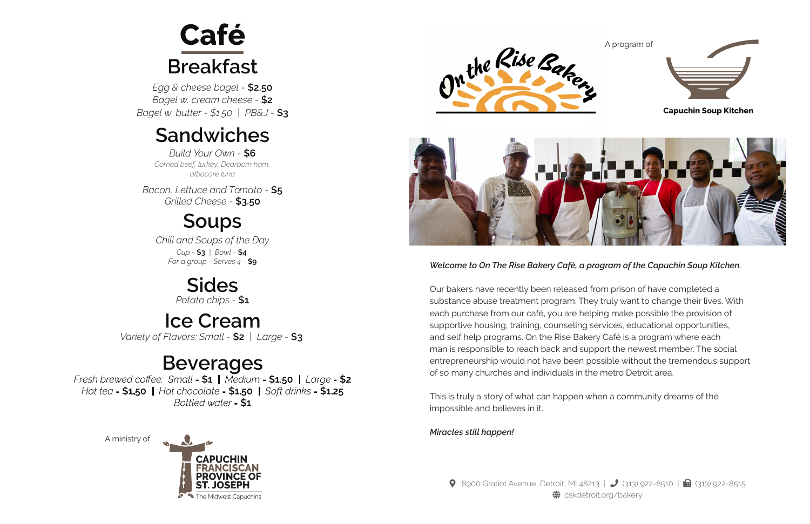*Welcome to On The Rise Bakery Café, a program of the Capuchin Soup Kitchen.* 

Our bakers have recently been released from prison of have completed a substance abuse treatment program. They truly want to change their lives. With each purchase from our café, you are helping make possible the provision of supportive housing, training, counseling services, educational opportunities, and self help programs. On the Rise Bakery Café is a program where each man is responsible to reach back and support the newest member. The social entrepreneurship would not have been possible without the tremendous support of so many churches and individuals in the metro Detroit area.

This is truly a story of what can happen when a community dreams of the impossible and believes in it.







#### **Sandwiches**

### **Soups**

*Corned beef, turkey, Dearborn ham, albacore tuna Build Your Own -* **\$6**

*Egg & cheese bagel -* **\$2.50** *Bagel w. cream cheese -* **\$2** *Bagel w. butter - \$1.50 | PB&J -* **\$3**

## **Breakfast Café**

*Bacon, Lettuce and Tomato -* **\$5** *Grilled Cheese -* **\$3.50**

*Chili and Soups of the Day Cup -* **\$3** *| Bowl -* **\$4** *For a group - Serves 4 -* **\$9**

> **Sides** *Potato chips -* **\$1**

#### **Ice Cream** *Variety of Flavors: Small -* **\$2** *| Large -* **\$3**

**Beverages**<br>Fresh brewed coffee: Small **- \$1** | Medium - \$1.50 | Large - \$2 Hot tea -  $$1.50$  | Hot chocolate -  $$1.50$  | Soft drinks -  $$1.25$ Bottled water - \$1

#### **Capuchin Soup Kitchen**

A program of